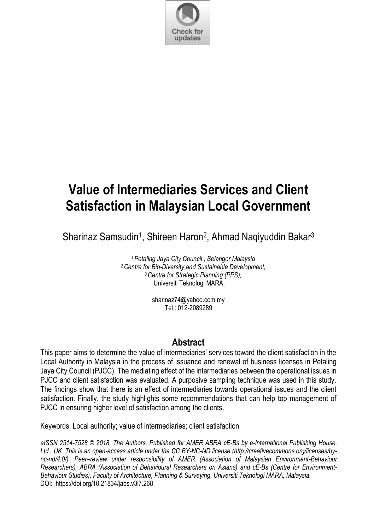

# **Value of Intermediaries Services and Client Satisfaction in Malaysian Local Government**

Sharinaz Samsudin<sup>1</sup>, Shireen Haron<sup>2</sup>, Ahmad Naqiyuddin Bakar<sup>3</sup>

*Petaling Jaya City Council , Selangor Malaysia Centre for Bio-Diversity and Sustainable Development, Centre for Strategic Planning (PPS),*  Universiti Teknologi MARA,

> sharinaz74@yahoo.com.my Tel.: 012-2089289

# **Abstract**

This paper aims to determine the value of intermediaries' services toward the client satisfaction in the Local Authority in Malaysia in the process of issuance and renewal of business licenses in Petaling Jaya City Council (PJCC). The mediating effect of the intermediaries between the operational issues in PJCC and client satisfaction was evaluated. A purposive sampling technique was used in this study. The findings show that there is an effect of intermediaries towards operational issues and the client satisfaction. Finally, the study highlights some recommendations that can help top management of PJCC in ensuring higher level of satisfaction among the clients.

Keywords: Local authority; value of intermediaries; client satisfaction

*eISSN 2514-7528 © 2018. The Authors. Published for AMER ABRA cE-Bs by e-International Publishing House, Ltd., UK. This is an open-access article under the CC BY-NC-ND license (http://creativecommons.org/licenses/bync-nd/4.0/). Peer–review under responsibility of AMER (Association of Malaysian Environment-Behaviour Researchers), ABRA (Association of Behavioural Researchers on Asians) and cE-Bs (Centre for Environment-Behaviour Studies), Faculty of Architecture, Planning & Surveying, Universiti Teknologi MARA, Malaysia.*  DOI: https://doi.org/10.21834/jabs.v3i7.268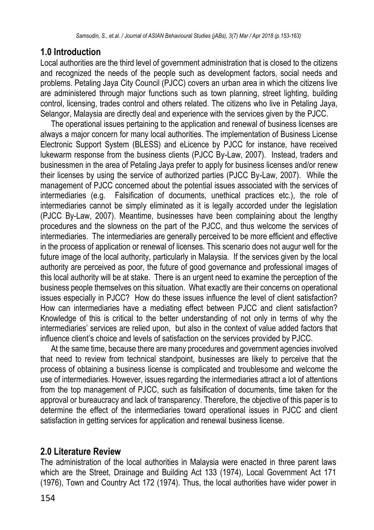# **1.0 Introduction**

Local authorities are the third level of government administration that is closed to the citizens and recognized the needs of the people such as development factors, social needs and problems. Petaling Jaya City Council (PJCC) covers an urban area in which the citizens live are administered through major functions such as town planning, street lighting, building control, licensing, trades control and others related. The citizens who live in Petaling Jaya, Selangor, Malaysia are directly deal and experience with the services given by the PJCC.

The operational issues pertaining to the application and renewal of business licenses are always a major concern for many local authorities. The implementation of Business License Electronic Support System (BLESS) and eLicence by PJCC for instance, have received lukewarm response from the business clients (PJCC By-Law, 2007). Instead, traders and businessmen in the area of Petaling Jaya prefer to apply for business licenses and/or renew their licenses by using the service of authorized parties (PJCC By-Law, 2007). While the management of PJCC concerned about the potential issues associated with the services of intermediaries (e.g. Falsification of documents, unethical practices etc.), the role of intermediaries cannot be simply eliminated as it is legally accorded under the legislation (PJCC By-Law, 2007). Meantime, businesses have been complaining about the lengthy procedures and the slowness on the part of the PJCC, and thus welcome the services of intermediaries. The intermediaries are generally perceived to be more efficient and effective in the process of application or renewal of licenses. This scenario does not augur well for the future image of the local authority, particularly in Malaysia. If the services given by the local authority are perceived as poor, the future of good governance and professional images of this local authority will be at stake. There is an urgent need to examine the perception of the business people themselves on this situation. What exactly are their concerns on operational issues especially in PJCC? How do these issues influence the level of client satisfaction? How can intermediaries have a mediating effect between PJCC and client satisfaction? Knowledge of this is critical to the better understanding of not only in terms of why the intermediaries' services are relied upon, but also in the context of value added factors that influence client's choice and levels of satisfaction on the services provided by PJCC.

At the same time, because there are many procedures and government agencies involved that need to review from technical standpoint, businesses are likely to perceive that the process of obtaining a business license is complicated and troublesome and welcome the use of intermediaries. However, issues regarding the intermediaries attract a lot of attentions from the top management of PJCC, such as falsification of documents, time taken for the approval or bureaucracy and lack of transparency. Therefore, the objective of this paper is to determine the effect of the intermediaries toward operational issues in PJCC and client satisfaction in getting services for application and renewal business license.

# **2.0 Literature Review**

The administration of the local authorities in Malaysia were enacted in three parent laws which are the Street, Drainage and Building Act 133 (1974), Local Government Act 171 (1976), Town and Country Act 172 (1974). Thus, the local authorities have wider power in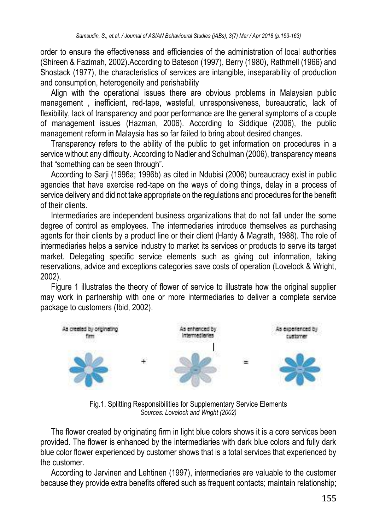order to ensure the effectiveness and efficiencies of the administration of local authorities (Shireen & Fazimah, 2002).According to Bateson (1997), Berry (1980), Rathmell (1966) and Shostack (1977), the characteristics of services are intangible, inseparability of production and consumption, heterogeneity and perishability

Align with the operational issues there are obvious problems in Malaysian public management , inefficient, red-tape, wasteful, unresponsiveness, bureaucratic, lack of flexibility, lack of transparency and poor performance are the general symptoms of a couple of management issues (Hazman, 2006). According to Siddique (2006), the public management reform in Malaysia has so far failed to bring about desired changes.

Transparency refers to the ability of the public to get information on procedures in a service without any difficulty. According to Nadler and Schulman (2006), transparency means that "something can be seen through".

According to Sarji (1996a; 1996b) as cited in Ndubisi (2006) bureaucracy exist in public agencies that have exercise red-tape on the ways of doing things, delay in a process of service delivery and did not take appropriate on the regulations and procedures for the benefit of their clients.

Intermediaries are independent business organizations that do not fall under the some degree of control as employees. The intermediaries introduce themselves as purchasing agents for their clients by a product line or their client (Hardy & Magrath, 1988). The role of intermediaries helps a service industry to market its services or products to serve its target market. Delegating specific service elements such as giving out information, taking reservations, advice and exceptions categories save costs of operation (Lovelock & Wright, 2002).

Figure 1 illustrates the theory of flower of service to illustrate how the original supplier may work in partnership with one or more intermediaries to deliver a complete service package to customers (Ibid, 2002).



Fig.1. Splitting Responsibilities for Supplementary Service Elements *Sources: Lovelock and Wright (2002)*

The flower created by originating firm in light blue colors shows it is a core services been provided. The flower is enhanced by the intermediaries with dark blue colors and fully dark blue color flower experienced by customer shows that is a total services that experienced by the customer.

According to Jarvinen and Lehtinen (1997), intermediaries are valuable to the customer because they provide extra benefits offered such as frequent contacts; maintain relationship;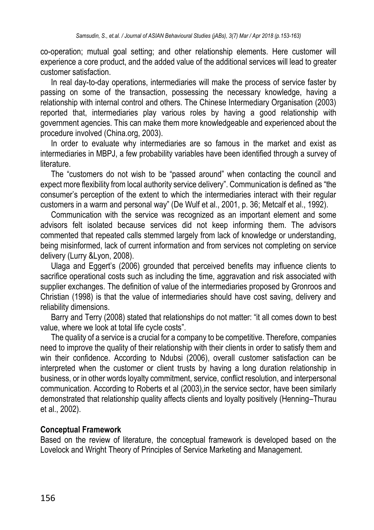co-operation; mutual goal setting; and other relationship elements. Here customer will experience a core product, and the added value of the additional services will lead to greater customer satisfaction.

In real day-to-day operations, intermediaries will make the process of service faster by passing on some of the transaction, possessing the necessary knowledge, having a relationship with internal control and others. The Chinese Intermediary Organisation (2003) reported that, intermediaries play various roles by having a good relationship with government agencies. This can make them more knowledgeable and experienced about the procedure involved (China.org, 2003).

In order to evaluate why intermediaries are so famous in the market and exist as intermediaries in MBPJ, a few probability variables have been identified through a survey of literature.

The "customers do not wish to be "passed around" when contacting the council and expect more flexibility from local authority service delivery". Communication is defined as "the consumer's perception of the extent to which the intermediaries interact with their regular customers in a warm and personal way" (De Wulf et al., 2001, p. 36; Metcalf et al., 1992).

Communication with the service was recognized as an important element and some advisors felt isolated because services did not keep informing them. The advisors commented that repeated calls stemmed largely from lack of knowledge or understanding, being misinformed, lack of current information and from services not completing on service delivery (Lurry &Lyon, 2008).

Ulaga and Eggert's (2006) grounded that perceived benefits may influence clients to sacrifice operational costs such as including the time, aggravation and risk associated with supplier exchanges. The definition of value of the intermediaries proposed by Gronroos and Christian (1998) is that the value of intermediaries should have cost saving, delivery and reliability dimensions.

Barry and Terry (2008) stated that relationships do not matter: "it all comes down to best value, where we look at total life cycle costs".

The quality of a service is a crucial for a company to be competitive. Therefore, companies need to improve the quality of their relationship with their clients in order to satisfy them and win their confidence. According to Ndubsi (2006), overall customer satisfaction can be interpreted when the customer or client trusts by having a long duration relationship in business, or in other words loyalty commitment, service, conflict resolution, and interpersonal communication. According to Roberts et al (2003),in the service sector, have been similarly demonstrated that relationship quality affects clients and loyalty positively (Henning–Thurau et al., 2002).

## **Conceptual Framework**

Based on the review of literature, the conceptual framework is developed based on the Lovelock and Wright Theory of Principles of Service Marketing and Management.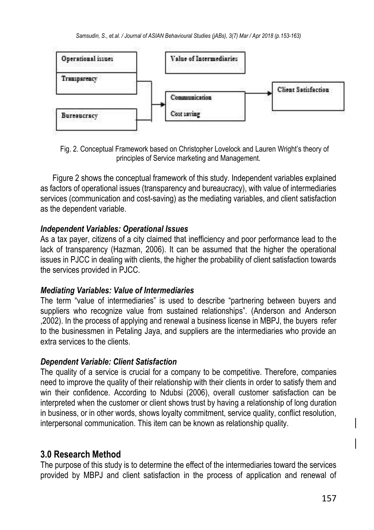

Fig. 2. Conceptual Framework based on Christopher Lovelock and Lauren Wright's theory of principles of Service marketing and Management.

Figure 2 shows the conceptual framework of this study. Independent variables explained as factors of operational issues (transparency and bureaucracy), with value of intermediaries services (communication and cost-saving) as the mediating variables, and client satisfaction as the dependent variable.

## *Independent Variables: Operational Issues*

As a tax payer, citizens of a city claimed that inefficiency and poor performance lead to the lack of transparency (Hazman, 2006). It can be assumed that the higher the operational issues in PJCC in dealing with clients, the higher the probability of client satisfaction towards the services provided in PJCC.

## *Mediating Variables: Value of Intermediaries*

The term "value of intermediaries" is used to describe "partnering between buyers and suppliers who recognize value from sustained relationships". (Anderson and Anderson ,2002). In the process of applying and renewal a business license in MBPJ, the buyers refer to the businessmen in Petaling Jaya, and suppliers are the intermediaries who provide an extra services to the clients.

## *Dependent Variable: Client Satisfaction*

The quality of a service is crucial for a company to be competitive. Therefore, companies need to improve the quality of their relationship with their clients in order to satisfy them and win their confidence. According to Ndubsi (2006), overall customer satisfaction can be interpreted when the customer or client shows trust by having a relationship of long duration in business, or in other words, shows loyalty commitment, service quality, conflict resolution, interpersonal communication. This item can be known as relationship quality.

## **3.0 Research Method**

The purpose of this study is to determine the effect of the intermediaries toward the services provided by MBPJ and client satisfaction in the process of application and renewal of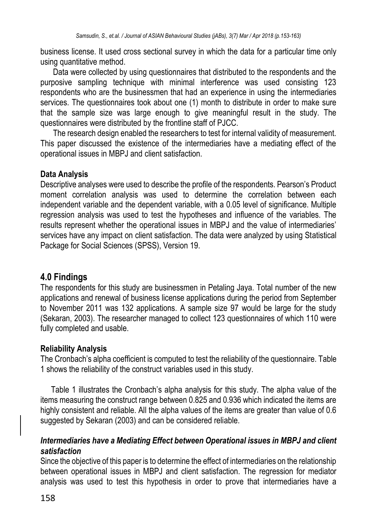business license. It used cross sectional survey in which the data for a particular time only using quantitative method.

Data were collected by using questionnaires that distributed to the respondents and the purposive sampling technique with minimal interference was used consisting 123 respondents who are the businessmen that had an experience in using the intermediaries services. The questionnaires took about one (1) month to distribute in order to make sure that the sample size was large enough to give meaningful result in the study. The questionnaires were distributed by the frontline staff of PJCC.

The research design enabled the researchers to test for internal validity of measurement. This paper discussed the existence of the intermediaries have a mediating effect of the operational issues in MBPJ and client satisfaction.

## **Data Analysis**

Descriptive analyses were used to describe the profile of the respondents. Pearson's Product moment correlation analysis was used to determine the correlation between each independent variable and the dependent variable, with a 0.05 level of significance. Multiple regression analysis was used to test the hypotheses and influence of the variables. The results represent whether the operational issues in MBPJ and the value of intermediaries' services have any impact on client satisfaction. The data were analyzed by using Statistical Package for Social Sciences (SPSS), Version 19.

# **4.0 Findings**

The respondents for this study are businessmen in Petaling Jaya. Total number of the new applications and renewal of business license applications during the period from September to November 2011 was 132 applications. A sample size 97 would be large for the study (Sekaran, 2003). The researcher managed to collect 123 questionnaires of which 110 were fully completed and usable.

## **Reliability Analysis**

The Cronbach's alpha coefficient is computed to test the reliability of the questionnaire. Table 1 shows the reliability of the construct variables used in this study.

Table 1 illustrates the Cronbach's alpha analysis for this study. The alpha value of the items measuring the construct range between 0.825 and 0.936 which indicated the items are highly consistent and reliable. All the alpha values of the items are greater than value of 0.6 suggested by Sekaran (2003) and can be considered reliable.

## *Intermediaries have a Mediating Effect between Operational issues in MBPJ and client satisfaction*

Since the objective of this paper is to determine the effect of intermediaries on the relationship between operational issues in MBPJ and client satisfaction. The regression for mediator analysis was used to test this hypothesis in order to prove that intermediaries have a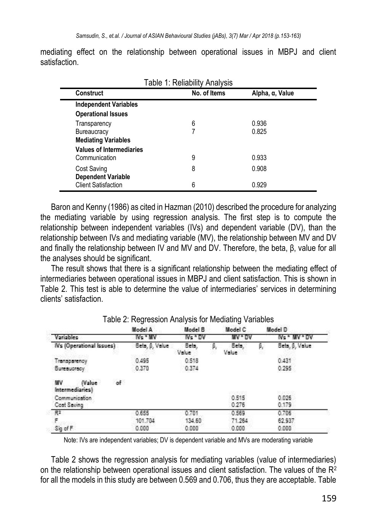| Construct                       | No. of Items | Alpha, α, Value |  |
|---------------------------------|--------------|-----------------|--|
| <b>Independent Variables</b>    |              |                 |  |
| <b>Operational Issues</b>       |              |                 |  |
| Transparency                    | 6            | 0.936           |  |
| <b>Bureaucracy</b>              |              | 0.825           |  |
| <b>Mediating Variables</b>      |              |                 |  |
| <b>Values of Intermediaries</b> |              |                 |  |
| Communication                   | 9            | 0.933           |  |
| <b>Cost Saving</b>              | 8            | 0.908           |  |
| <b>Dependent Variable</b>       |              |                 |  |
| <b>Client Satisfaction</b>      | 6            | 0.929           |  |

mediating effect on the relationship between operational issues in MBPJ and client satisfaction.

Baron and Kenny (1986) as cited in Hazman (2010) described the procedure for analyzing the mediating variable by using regression analysis. The first step is to compute the relationship between independent variables (IVs) and dependent variable (DV), than the relationship between IVs and mediating variable (MV), the relationship between MV and DV and finally the relationship between IV and MV and DV. Therefore, the beta, β, value for all the analyses should be significant.

The result shows that there is a significant relationship between the mediating effect of intermediaries between operational issues in MBPJ and client satisfaction. This is shown in Table 2. This test is able to determine the value of intermediaries' services in determining clients' satisfaction.

| ັ              | <br>Model B    |  | ີ              |    |                      |
|----------------|----------------|--|----------------|----|----------------------|
| Model A        |                |  | Model C        |    | Model D              |
| IVs * IIV      | $Ns$ ov        |  | MA - DA        |    | <b>IVs * MV * DV</b> |
| Beta, 6, Value | Beta.<br>Value |  | Beta,<br>Value | β, | Beta, 6, Value       |
| 0.495          | 0.518          |  |                |    | 0.431                |
| 0.370          | 0.374          |  |                |    | 0.295                |
|                |                |  |                |    |                      |
|                |                |  | 0.515<br>0.276 |    | 0.026<br>0.179       |
| 0.655          | 0.701          |  | 0.569          |    | 0.706                |
| 101.704        | 134.60         |  | 71.264         |    | 62.937               |
| 0.000          | 0.000          |  | 0.000          |    | 0.000.               |
|                |                |  |                |    |                      |

Table 2: Regression Analysis for Mediating Variables

Note: IVs are independent variables; DV is dependent variable and MVs are moderating variable

Table 2 shows the regression analysis for mediating variables (value of intermediaries) on the relationship between operational issues and client satisfaction. The values of the  $R^2$ for all the models in this study are between 0.569 and 0.706, thus they are acceptable. Table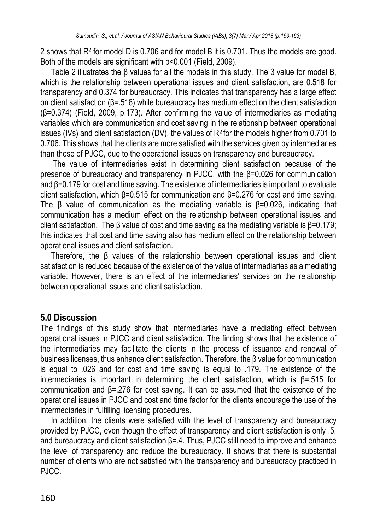2 shows that R<sup>2</sup> for model D is 0.706 and for model B it is 0.701. Thus the models are good. Both of the models are significant with p<0.001 (Field, 2009).

Table 2 illustrates the β values for all the models in this study. The β value for model B, which is the relationship between operational issues and client satisfaction, are 0.518 for transparency and 0.374 for bureaucracy. This indicates that transparency has a large effect on client satisfaction (β=.518) while bureaucracy has medium effect on the client satisfaction (β=0.374) (Field, 2009, p.173). After confirming the value of intermediaries as mediating variables which are communication and cost saving in the relationship between operational issues (IVs) and client satisfaction (DV), the values of R2 for the models higher from 0.701 to 0.706. This shows that the clients are more satisfied with the services given by intermediaries than those of PJCC, due to the operational issues on transparency and bureaucracy.

The value of intermediaries exist in determining client satisfaction because of the presence of bureaucracy and transparency in PJCC, with the β=0.026 for communication and β=0.179 for cost and time saving. The existence of intermediaries is important to evaluate client satisfaction, which β=0.515 for communication and β=0.276 for cost and time saving. The β value of communication as the mediating variable is β=0.026, indicating that communication has a medium effect on the relationship between operational issues and client satisfaction. The β value of cost and time saving as the mediating variable is β=0.179; this indicates that cost and time saving also has medium effect on the relationship between operational issues and client satisfaction.

Therefore, the β values of the relationship between operational issues and client satisfaction is reduced because of the existence of the value of intermediaries as a mediating variable. However, there is an effect of the intermediaries' services on the relationship between operational issues and client satisfaction.

## **5.0 Discussion**

The findings of this study show that intermediaries have a mediating effect between operational issues in PJCC and client satisfaction. The finding shows that the existence of the intermediaries may facilitate the clients in the process of issuance and renewal of business licenses, thus enhance client satisfaction. Therefore, the β value for communication is equal to .026 and for cost and time saving is equal to .179. The existence of the intermediaries is important in determining the client satisfaction, which is β=.515 for communication and β=.276 for cost saving. It can be assumed that the existence of the operational issues in PJCC and cost and time factor for the clients encourage the use of the intermediaries in fulfilling licensing procedures.

In addition, the clients were satisfied with the level of transparency and bureaucracy provided by PJCC, even though the effect of transparency and client satisfaction is only .5, and bureaucracy and client satisfaction β=.4. Thus, PJCC still need to improve and enhance the level of transparency and reduce the bureaucracy. It shows that there is substantial number of clients who are not satisfied with the transparency and bureaucracy practiced in PJCC.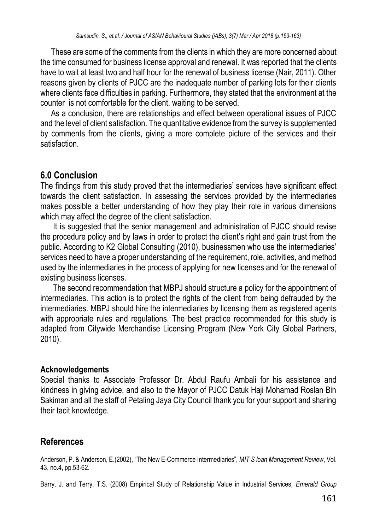These are some of the comments from the clients in which they are more concerned about the time consumed for business license approval and renewal. It was reported that the clients have to wait at least two and half hour for the renewal of business license (Nair, 2011). Other reasons given by clients of PJCC are the inadequate number of parking lots for their clients where clients face difficulties in parking. Furthermore, they stated that the environment at the counter is not comfortable for the client, waiting to be served.

As a conclusion, there are relationships and effect between operational issues of PJCC and the level of client satisfaction. The quantitative evidence from the survey is supplemented by comments from the clients, giving a more complete picture of the services and their satisfaction.

## **6.0 Conclusion**

The findings from this study proved that the intermediaries' services have significant effect towards the client satisfaction. In assessing the services provided by the intermediaries makes possible a better understanding of how they play their role in various dimensions which may affect the degree of the client satisfaction.

It is suggested that the senior management and administration of PJCC should revise the procedure policy and by laws in order to protect the client's right and gain trust from the public. According to K2 Global Consulting (2010), businessmen who use the intermediaries' services need to have a proper understanding of the requirement, role, activities, and method used by the intermediaries in the process of applying for new licenses and for the renewal of existing business licenses.

The second recommendation that MBPJ should structure a policy for the appointment of intermediaries. This action is to protect the rights of the client from being defrauded by the intermediaries. MBPJ should hire the intermediaries by licensing them as registered agents with appropriate rules and regulations. The best practice recommended for this study is adapted from Citywide Merchandise Licensing Program (New York City Global Partners, 2010).

## **Acknowledgements**

Special thanks to Associate Professor Dr. Abdul Raufu Ambali for his assistance and kindness in giving advice, and also to the Mayor of PJCC Datuk Haji Mohamad Roslan Bin Sakiman and all the staff of Petaling Jaya City Council thank you for your support and sharing their tacit knowledge.

# **References**

Anderson, P. & Anderson, E.(2002), "The New E-Commerce Intermediaries", *MIT S loan Management Review*, Vol. 43, no.4, pp.53-62.

Barry, J. and Terry, T.S. (2008) Empirical Study of Relationship Value in Industrial Services*, Emerald Group*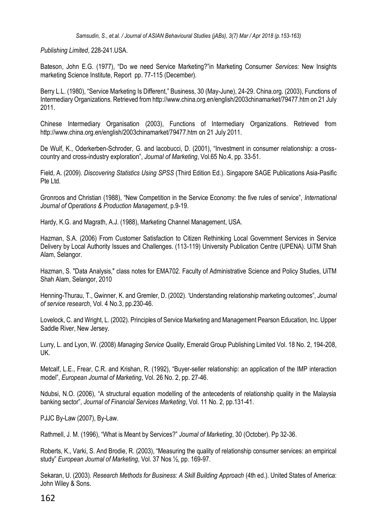*Publishing Limited*, 228-241.USA.

Bateson, John E.G. (1977), "Do we need Service Marketing?"in Marketing Consumer *Services:* New Insights marketing Science Institute, Report pp. 77-115 (December).

Berry L.L. (1980), "Service Marketing Is Different," Business, 30 (May-June), 24-29. China.org. (2003), Functions of Intermediary Organizations. Retrieved from http://www.china.org.en/english/2003chinamarket/79477.htm on 21 July 2011.

Chinese Intermediary Organisation (2003), Functions of Intermediary Organizations. Retrieved from http://www.china.org.en/english/2003chinamarket/79477.htm on 21 July 2011.

De Wulf, K., Oderkerben-Schroder, G. and lacobucci, D. (2001), "Investment in consumer relationship: a crosscountry and cross-industry exploration", *Journal of Marketing*, Vol.65 No.4, pp. 33-51.

Field, A. (2009). *Discovering Statistics Using SPSS* (Third Edition Ed.). Singapore SAGE Publications Asia-Pasific Pte Ltd.

Gronroos and Christian (1988), "New Competition in the Service Economy: the five rules of service", *International Journal of Operations & Production Management*, p.9-19.

Hardy, K.G. and Magrath, A.J. (1988), Marketing Channel Management, USA.

Hazman, S.A. (2006) From Customer Satisfaction to Citizen Rethinking Local Government Services in Service Delivery by Local Authority Issues and Challenges. (113-119) University Publication Centre (UPENA). UiTM Shah Alam, Selangor.

Hazman, S. "Data Analysis," class notes for EMA702. Faculty of Administrative Science and Policy Studies, UiTM Shah Alam, Selangor, 2010

Henning-Thurau, T., Gwinner, K. and Gremler, D. (2002). 'Understanding relationship marketing outcomes", *Journal of service research*, Vol. 4 No.3, pp.230-46.

Lovelock, C. and Wright, L. (2002). Principles of Service Marketing and Management Pearson Education, Inc. Upper Saddle River, New Jersey.

Lurry, L. and Lyon, W. (2008) *Managing Service Quality*, Emerald Group Publishing Limited Vol. 18 No. 2, 194-208, UK.

Metcalf, L.E., Frear, C.R. and Krishan, R. (1992), "Buyer-seller relationship: an application of the IMP interaction model", *European Journal of Marketing*, Vol. 26 No. 2, pp. 27-46.

Ndubsi, N.O. (2006), "A structural equation modelling of the antecedents of relationship quality in the Malaysia banking sector", *Journal of Financial Services Marketing*, Vol. 11 No. 2, pp.131-41.

PJJC By-Law (2007), By-Law.

Rathmell, J. M. (1996), "What is Meant by Services?" *Journal of Marketing*, 30 (October). Pp 32-36.

Roberts, K., Varki, S. And Brodie, R. (2003), "Measuring the quality of relationship consumer services: an empirical study" *European Journal of Marketing*, Vol. 37 Nos ½, pp. 169-97.

Sekaran, U. (2003). *Research Methods for Business: A Skill Building Approach* (4th ed.). United States of America: John Wiley & Sons.